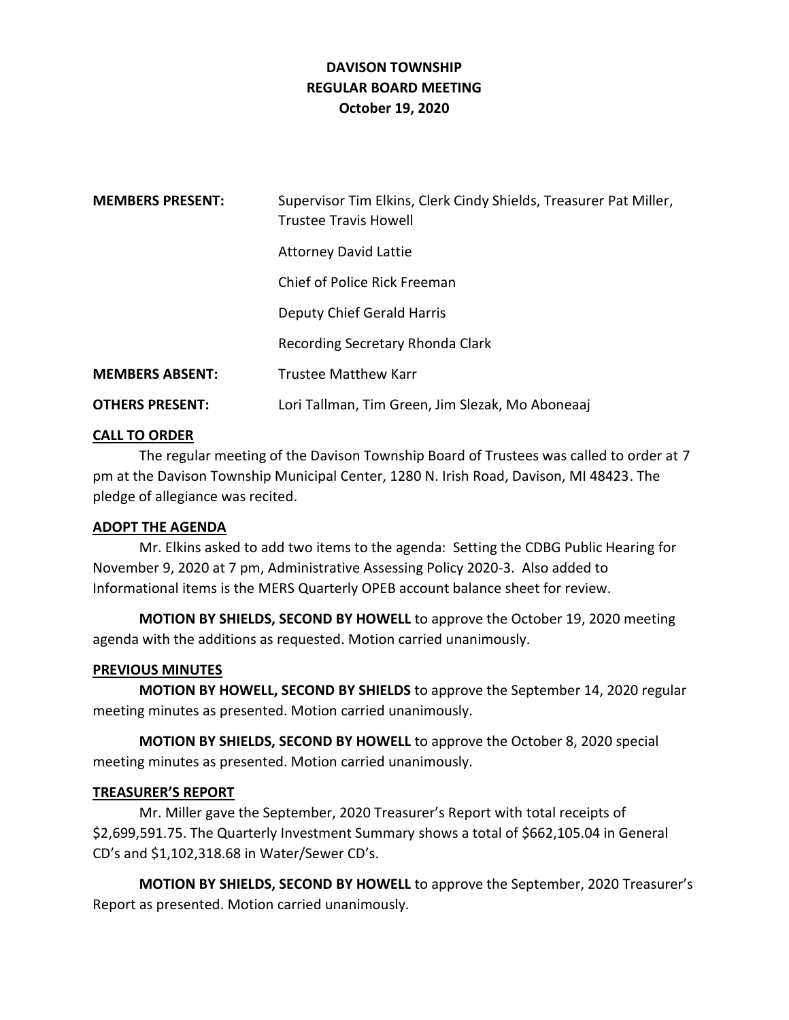# **DAVISON TOWNSHIP REGULAR BOARD MEETING October 19, 2020**

| <b>MEMBERS PRESENT:</b> | Supervisor Tim Elkins, Clerk Cindy Shields, Treasurer Pat Miller,<br><b>Trustee Travis Howell</b> |
|-------------------------|---------------------------------------------------------------------------------------------------|
|                         | <b>Attorney David Lattie</b>                                                                      |
|                         | Chief of Police Rick Freeman                                                                      |
|                         | Deputy Chief Gerald Harris                                                                        |
|                         | Recording Secretary Rhonda Clark                                                                  |
| <b>MEMBERS ABSENT:</b>  | Trustee Matthew Karr                                                                              |
| <b>OTHERS PRESENT:</b>  | Lori Tallman, Tim Green, Jim Slezak, Mo Aboneaaj                                                  |

## **CALL TO ORDER**

The regular meeting of the Davison Township Board of Trustees was called to order at 7 pm at the Davison Township Municipal Center, 1280 N. Irish Road, Davison, MI 48423. The pledge of allegiance was recited.

## **ADOPT THE AGENDA**

Mr. Elkins asked to add two items to the agenda: Setting the CDBG Public Hearing for November 9, 2020 at 7 pm, Administrative Assessing Policy 2020-3. Also added to Informational items is the MERS Quarterly OPEB account balance sheet for review.

**MOTION BY SHIELDS, SECOND BY HOWELL** to approve the October 19, 2020 meeting agenda with the additions as requested. Motion carried unanimously.

#### **PREVIOUS MINUTES**

**MOTION BY HOWELL, SECOND BY SHIELDS** to approve the September 14, 2020 regular meeting minutes as presented. Motion carried unanimously.

**MOTION BY SHIELDS, SECOND BY HOWELL** to approve the October 8, 2020 special meeting minutes as presented. Motion carried unanimously.

#### **TREASURER'S REPORT**

Mr. Miller gave the September, 2020 Treasurer's Report with total receipts of \$2,699,591.75. The Quarterly Investment Summary shows a total of \$662,105.04 in General CD's and \$1,102,318.68 in Water/Sewer CD's.

**MOTION BY SHIELDS, SECOND BY HOWELL** to approve the September, 2020 Treasurer's Report as presented. Motion carried unanimously.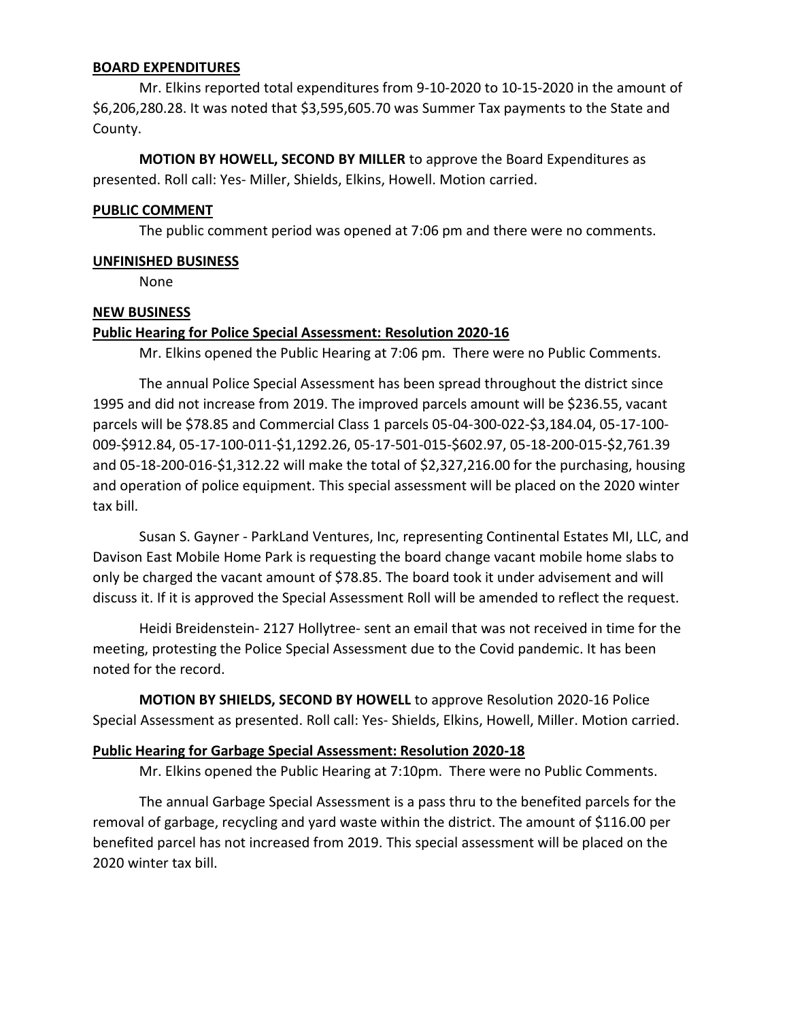### **BOARD EXPENDITURES**

Mr. Elkins reported total expenditures from 9-10-2020 to 10-15-2020 in the amount of \$6,206,280.28. It was noted that \$3,595,605.70 was Summer Tax payments to the State and County.

**MOTION BY HOWELL, SECOND BY MILLER** to approve the Board Expenditures as presented. Roll call: Yes- Miller, Shields, Elkins, Howell. Motion carried.

### **PUBLIC COMMENT**

The public comment period was opened at 7:06 pm and there were no comments.

### **UNFINISHED BUSINESS**

None

### **NEW BUSINESS**

## **Public Hearing for Police Special Assessment: Resolution 2020-16**

Mr. Elkins opened the Public Hearing at 7:06 pm. There were no Public Comments.

The annual Police Special Assessment has been spread throughout the district since 1995 and did not increase from 2019. The improved parcels amount will be \$236.55, vacant parcels will be \$78.85 and Commercial Class 1 parcels 05-04-300-022-\$3,184.04, 05-17-100- 009-\$912.84, 05-17-100-011-\$1,1292.26, 05-17-501-015-\$602.97, 05-18-200-015-\$2,761.39 and 05-18-200-016-\$1,312.22 will make the total of \$2,327,216.00 for the purchasing, housing and operation of police equipment. This special assessment will be placed on the 2020 winter tax bill.

Susan S. Gayner - ParkLand Ventures, Inc, representing Continental Estates MI, LLC, and Davison East Mobile Home Park is requesting the board change vacant mobile home slabs to only be charged the vacant amount of \$78.85. The board took it under advisement and will discuss it. If it is approved the Special Assessment Roll will be amended to reflect the request.

Heidi Breidenstein- 2127 Hollytree- sent an email that was not received in time for the meeting, protesting the Police Special Assessment due to the Covid pandemic. It has been noted for the record.

**MOTION BY SHIELDS, SECOND BY HOWELL** to approve Resolution 2020-16 Police Special Assessment as presented. Roll call: Yes- Shields, Elkins, Howell, Miller. Motion carried.

## **Public Hearing for Garbage Special Assessment: Resolution 2020-18**

Mr. Elkins opened the Public Hearing at 7:10pm. There were no Public Comments.

The annual Garbage Special Assessment is a pass thru to the benefited parcels for the removal of garbage, recycling and yard waste within the district. The amount of \$116.00 per benefited parcel has not increased from 2019. This special assessment will be placed on the 2020 winter tax bill.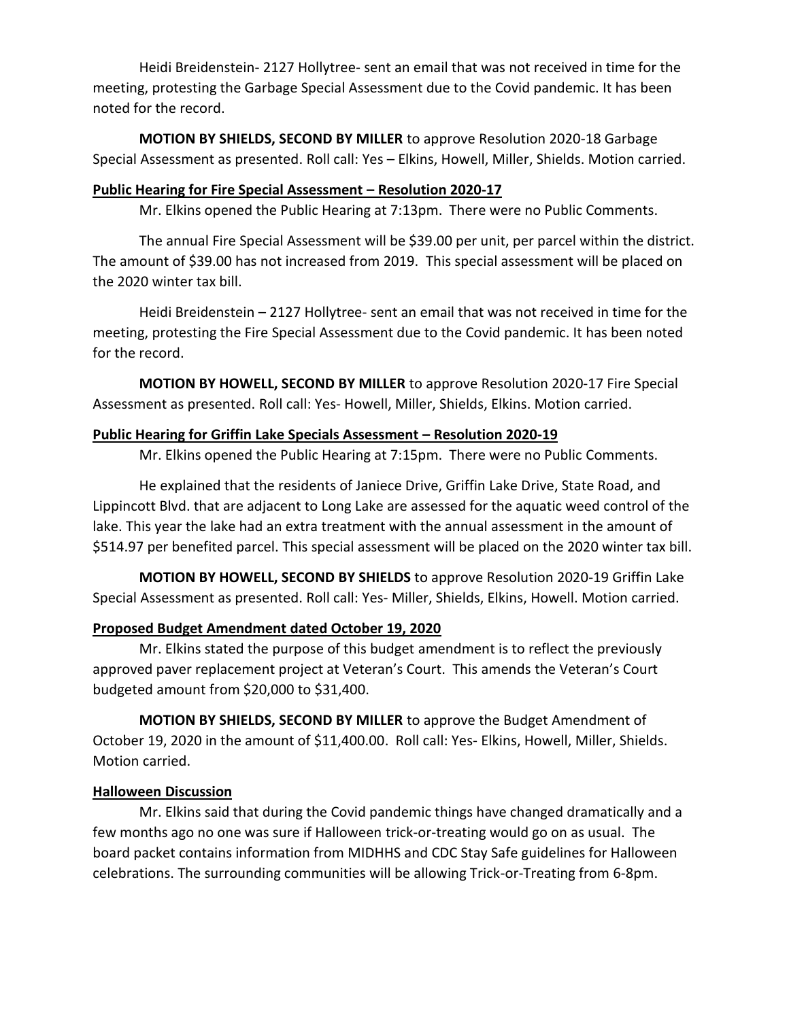Heidi Breidenstein- 2127 Hollytree- sent an email that was not received in time for the meeting, protesting the Garbage Special Assessment due to the Covid pandemic. It has been noted for the record.

**MOTION BY SHIELDS, SECOND BY MILLER** to approve Resolution 2020-18 Garbage Special Assessment as presented. Roll call: Yes – Elkins, Howell, Miller, Shields. Motion carried.

## **Public Hearing for Fire Special Assessment – Resolution 2020-17**

Mr. Elkins opened the Public Hearing at 7:13pm. There were no Public Comments.

The annual Fire Special Assessment will be \$39.00 per unit, per parcel within the district. The amount of \$39.00 has not increased from 2019. This special assessment will be placed on the 2020 winter tax bill.

Heidi Breidenstein – 2127 Hollytree- sent an email that was not received in time for the meeting, protesting the Fire Special Assessment due to the Covid pandemic. It has been noted for the record.

**MOTION BY HOWELL, SECOND BY MILLER** to approve Resolution 2020-17 Fire Special Assessment as presented. Roll call: Yes- Howell, Miller, Shields, Elkins. Motion carried.

## **Public Hearing for Griffin Lake Specials Assessment – Resolution 2020-19**

Mr. Elkins opened the Public Hearing at 7:15pm. There were no Public Comments.

He explained that the residents of Janiece Drive, Griffin Lake Drive, State Road, and Lippincott Blvd. that are adjacent to Long Lake are assessed for the aquatic weed control of the lake. This year the lake had an extra treatment with the annual assessment in the amount of \$514.97 per benefited parcel. This special assessment will be placed on the 2020 winter tax bill.

**MOTION BY HOWELL, SECOND BY SHIELDS** to approve Resolution 2020-19 Griffin Lake Special Assessment as presented. Roll call: Yes- Miller, Shields, Elkins, Howell. Motion carried.

## **Proposed Budget Amendment dated October 19, 2020**

Mr. Elkins stated the purpose of this budget amendment is to reflect the previously approved paver replacement project at Veteran's Court. This amends the Veteran's Court budgeted amount from \$20,000 to \$31,400.

**MOTION BY SHIELDS, SECOND BY MILLER** to approve the Budget Amendment of October 19, 2020 in the amount of \$11,400.00. Roll call: Yes- Elkins, Howell, Miller, Shields. Motion carried.

## **Halloween Discussion**

Mr. Elkins said that during the Covid pandemic things have changed dramatically and a few months ago no one was sure if Halloween trick-or-treating would go on as usual. The board packet contains information from MIDHHS and CDC Stay Safe guidelines for Halloween celebrations. The surrounding communities will be allowing Trick-or-Treating from 6-8pm.